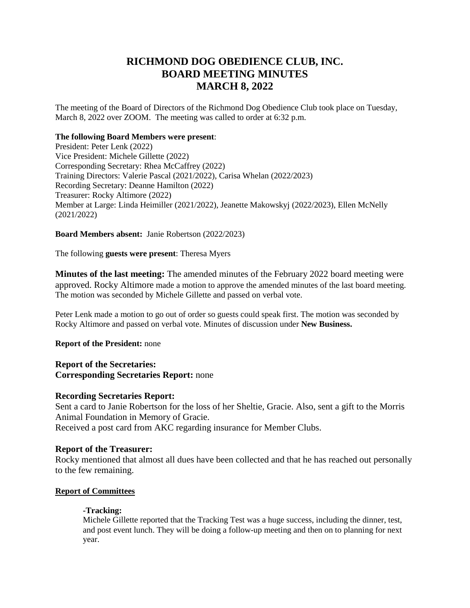# **RICHMOND DOG OBEDIENCE CLUB, INC. BOARD MEETING MINUTES MARCH 8, 2022**

The meeting of the Board of Directors of the Richmond Dog Obedience Club took place on Tuesday, March 8, 2022 over ZOOM. The meeting was called to order at 6:32 p.m.

## **The following Board Members were present**:

President: Peter Lenk (2022) Vice President: Michele Gillette (2022) Corresponding Secretary: Rhea McCaffrey (2022) Training Directors: Valerie Pascal (2021/2022), Carisa Whelan (2022/2023) Recording Secretary: Deanne Hamilton (2022) Treasurer: Rocky Altimore (2022) Member at Large: Linda Heimiller (2021/2022), Jeanette Makowskyj (2022/2023), Ellen McNelly (2021/2022)

## **Board Members absent:** Janie Robertson (2022/2023)

The following **guests were present**: Theresa Myers

**Minutes of the last meeting:** The amended minutes of the February 2022 board meeting were approved. Rocky Altimore made a motion to approve the amended minutes of the last board meeting. The motion was seconded by Michele Gillette and passed on verbal vote.

Peter Lenk made a motion to go out of order so guests could speak first. The motion was seconded by Rocky Altimore and passed on verbal vote. Minutes of discussion under **New Business.**

## **Report of the President:** none

## **Report of the Secretaries: Corresponding Secretaries Report:** none

## **Recording Secretaries Report:**

Sent a card to Janie Robertson for the loss of her Sheltie, Gracie. Also, sent a gift to the Morris Animal Foundation in Memory of Gracie. Received a post card from AKC regarding insurance for Member Clubs.

## **Report of the Treasurer:**

Rocky mentioned that almost all dues have been collected and that he has reached out personally to the few remaining.

## **Report of Committees**

## **-Tracking:**

Michele Gillette reported that the Tracking Test was a huge success, including the dinner, test, and post event lunch. They will be doing a follow-up meeting and then on to planning for next year.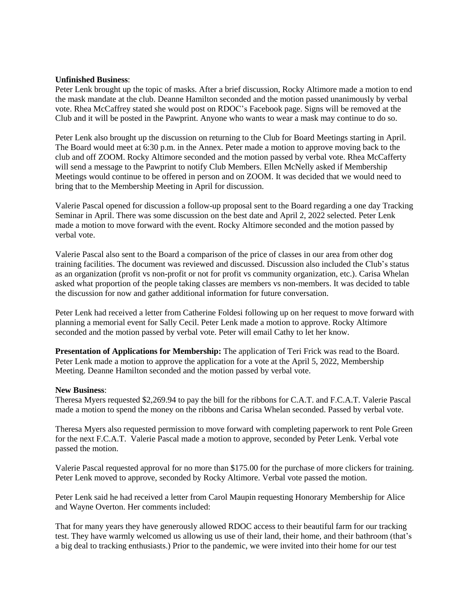#### **Unfinished Business**:

Peter Lenk brought up the topic of masks. After a brief discussion, Rocky Altimore made a motion to end the mask mandate at the club. Deanne Hamilton seconded and the motion passed unanimously by verbal vote. Rhea McCaffrey stated she would post on RDOC's Facebook page. Signs will be removed at the Club and it will be posted in the Pawprint. Anyone who wants to wear a mask may continue to do so.

Peter Lenk also brought up the discussion on returning to the Club for Board Meetings starting in April. The Board would meet at 6:30 p.m. in the Annex. Peter made a motion to approve moving back to the club and off ZOOM. Rocky Altimore seconded and the motion passed by verbal vote. Rhea McCafferty will send a message to the Pawprint to notify Club Members. Ellen McNelly asked if Membership Meetings would continue to be offered in person and on ZOOM. It was decided that we would need to bring that to the Membership Meeting in April for discussion.

Valerie Pascal opened for discussion a follow-up proposal sent to the Board regarding a one day Tracking Seminar in April. There was some discussion on the best date and April 2, 2022 selected. Peter Lenk made a motion to move forward with the event. Rocky Altimore seconded and the motion passed by verbal vote.

Valerie Pascal also sent to the Board a comparison of the price of classes in our area from other dog training facilities. The document was reviewed and discussed. Discussion also included the Club's status as an organization (profit vs non-profit or not for profit vs community organization, etc.). Carisa Whelan asked what proportion of the people taking classes are members vs non-members. It was decided to table the discussion for now and gather additional information for future conversation.

Peter Lenk had received a letter from Catherine Foldesi following up on her request to move forward with planning a memorial event for Sally Cecil. Peter Lenk made a motion to approve. Rocky Altimore seconded and the motion passed by verbal vote. Peter will email Cathy to let her know.

**Presentation of Applications for Membership:** The application of Teri Frick was read to the Board. Peter Lenk made a motion to approve the application for a vote at the April 5, 2022, Membership Meeting. Deanne Hamilton seconded and the motion passed by verbal vote.

#### **New Business**:

Theresa Myers requested \$2,269.94 to pay the bill for the ribbons for C.A.T. and F.C.A.T. Valerie Pascal made a motion to spend the money on the ribbons and Carisa Whelan seconded. Passed by verbal vote.

Theresa Myers also requested permission to move forward with completing paperwork to rent Pole Green for the next F.C.A.T. Valerie Pascal made a motion to approve, seconded by Peter Lenk. Verbal vote passed the motion.

Valerie Pascal requested approval for no more than \$175.00 for the purchase of more clickers for training. Peter Lenk moved to approve, seconded by Rocky Altimore. Verbal vote passed the motion.

Peter Lenk said he had received a letter from Carol Maupin requesting Honorary Membership for Alice and Wayne Overton. Her comments included:

That for many years they have generously allowed RDOC access to their beautiful farm for our tracking test. They have warmly welcomed us allowing us use of their land, their home, and their bathroom (that's a big deal to tracking enthusiasts.) Prior to the pandemic, we were invited into their home for our test